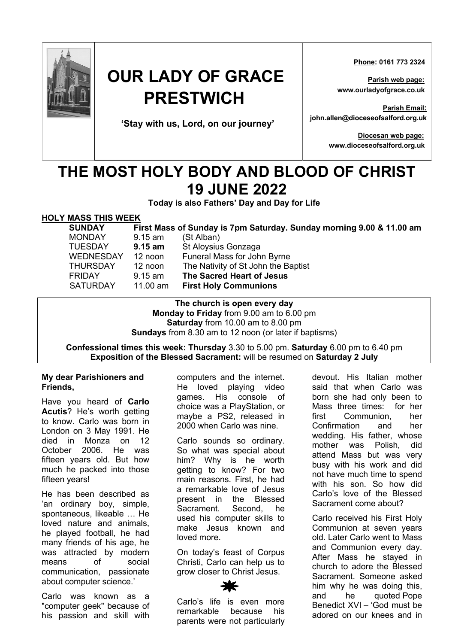

# **OUR LADY OF GRACE PRESTWICH**

**'Stay with us, Lord, on our journey'**

 **Phone: 0161 773 2324**

**Parish web page: www.ourladyofgrace.co.uk**

**Parish Email: john.allen@dioceseofsalford.org.uk**

> **Diocesan web page: www.dioceseofsalford.org.uk**

# **THE MOST HOLY BODY AND BLOOD OF CHRIST 19 JUNE 2022**

**Today is also Fathers' Day and Day for Life**

## **HOLY MASS THIS WEEK**

**SUNDAY First Mass of Sunday is 7pm Saturday. Sunday morning 9.00 & 11.00 am** MONDAY 9.15 am (St Alban)

TUESDAY **9.15 am** St Aloysius Gonzaga WEDNESDAY 12 noon Funeral Mass for John Byrne THURSDAY 12 noon The Nativity of St John the Baptist FRIDAY 9.15 am **The Sacred Heart of Jesus** SATURDAY 11.00 am **First Holy Communions**

#### **The church is open every day Monday to Friday** from 9.00 am to 6.00 pm **Saturday** from 10.00 am to 8.00 pm **Sundays** from 8.30 am to 12 noon (or later if baptisms)

### **Confessional times this week: Thursday** 3.30 to 5.00 pm. **Saturday** 6.00 pm to 6.40 pm **Exposition of the Blessed Sacrament:** will be resumed on **Saturday 2 July**

#### **My dear Parishioners and Friends,**

Have you heard of **Carlo Acutis**? He's worth getting to know. Carlo was born in London on 3 May 1991. He died in Monza on 12 October 2006. He was fifteen years old. But how much he packed into those fifteen years!

He has been described as 'an ordinary boy, simple, spontaneous, likeable … He loved nature and animals, he played football, he had many friends of his age, he was attracted by modern means of social communication, passionate about computer science.'

Carlo was known as a "computer geek" because of his passion and skill with

computers and the internet. He loved playing video games. His console of choice was a PlayStation, or maybe a PS2, released in 2000 when Carlo was nine.

Carlo sounds so ordinary. So what was special about him? Why is he worth getting to know? For two main reasons. First, he had a remarkable love of Jesus present in the Blessed Sacrament. Second, he used his computer skills to make Jesus known and loved more.

On today's feast of Corpus Christi, Carlo can help us to grow closer to Christ Jesus.

devout. His Italian mother said that when Carlo was born she had only been to Mass three times: for her first Communion, her Confirmation and her wedding. His father, whose mother was Polish, did attend Mass but was very busy with his work and did not have much time to spend with his son. So how did Carlo's love of the Blessed Sacrament come about?

Carlo received his First Holy Communion at seven years old. Later Carlo went to Mass and Communion every day. After Mass he stayed in church to adore the Blessed Sacrament. Someone asked him why he was doing this, and he quoted Pope Benedict XVI – 'God must be adored on our knees and in

Carlo's life is even more remarkable because his parents were not particularly